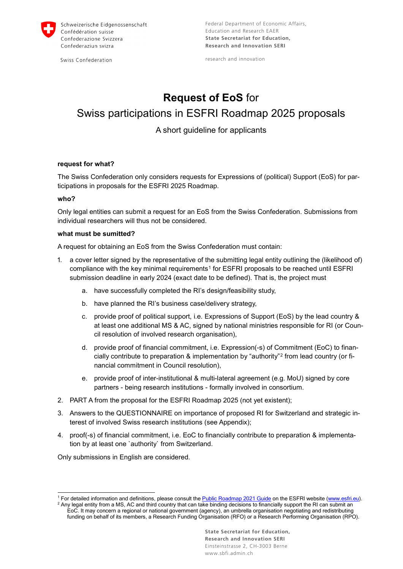

Swiss Confederation

research and innovation

# **Request of EoS** for Swiss participations in ESFRI Roadmap 2025 proposals

### A short guideline for applicants

#### **request for what?**

The Swiss Confederation only considers requests for Expressions of (political) Support (EoS) for participations in proposals for the ESFRI 2025 Roadmap.

#### **who?**

-

Only legal entities can submit a request for an EoS from the Swiss Confederation. Submissions from individual researchers will thus not be considered.

#### **what must be sumitted?**

A request for obtaining an EoS from the Swiss Confederation must contain:

- 1. a cover letter signed by the representative of the submitting legal entity outlining the (likelihood of) compliance with the key minimal requirements<sup>[1](#page-0-0)</sup> for ESFRI proposals to be reached until ESFRI submission deadline in early 2024 (exact date to be defined). That is, the project must
	- a. have successfully completed the RI's design/feasibility study,
	- b. have planned the RI's business case/delivery strategy,
	- c. provide proof of political support, i.e. Expressions of Support (EoS) by the lead country & at least one additional MS & AC, signed by national ministries responsible for RI (or Council resolution of involved research organisation),
	- d. provide proof of financial commitment, i.e. Expression(-s) of Commitment (EoC) to financially contribute to preparation & implementation by "authority"[2](#page-0-1) from lead country (or financial commitment in Council resolution),
	- e. provide proof of inter-institutional & multi-lateral agreement (e.g. MoU) signed by core partners - being research institutions - formally involved in consortium.
- 2. PART A from the proposal for the ESFRI Roadmap 2025 (not yet existent);
- 3. Answers to the QUESTIONNAIRE on importance of proposed RI for Switzerland and strategic interest of involved Swiss research institutions (see Appendix);
- 4. proof(-s) of financial commitment, i.e. EoC to financially contribute to preparation & implementation by at least one `authority` from Switzerland.

Only submissions in English are considered.

<span id="page-0-1"></span><span id="page-0-0"></span><sup>&</sup>lt;sup>1</sup> F[o](https://www.esfri.eu/sites/default/files/ESFRI_Roadmap2021_Public_Guide_Public.pdf)r detailed information and definitions, please consult the Public Roadmap 2021 Guide on the ESFRI website [\(www.esfri.eu\)](http://www.esfri.eu/).<br><sup>2</sup> Any legal entity from a MS, AC and third country that can take binding decisions to financ

EoC. It may concern a regional or national government (agency), an umbrella organisation negotiating and redistributing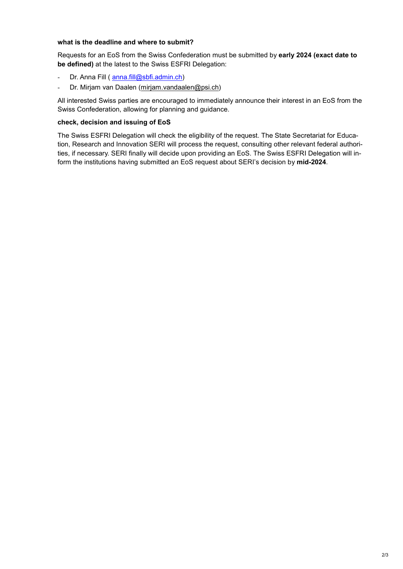#### **what is the deadline and where to submit?**

Requests for an EoS from the Swiss Confederation must be submitted by **early 2024 (exact date to be defined)** at the latest to the Swiss ESFRI Delegation:

- Dr. Anna Fill ( [anna.fill@sbfi.admin.ch\)](mailto:anna.fill@sbfi.admin.ch)
- Dr. Mirjam van Daalen (mirjam.vandaalen@psi.ch)

All interested Swiss parties are encouraged to immediately announce their interest in an EoS from the Swiss Confederation, allowing for planning and guidance.

#### **check, decision and issuing of EoS**

The Swiss ESFRI Delegation will check the eligibility of the request. The State Secretariat for Education, Research and Innovation SERI will process the request, consulting other relevant federal authorities, if necessary. SERI finally will decide upon providing an EoS. The Swiss ESFRI Delegation will inform the institutions having submitted an EoS request about SERI's decision by **mid-2024**.